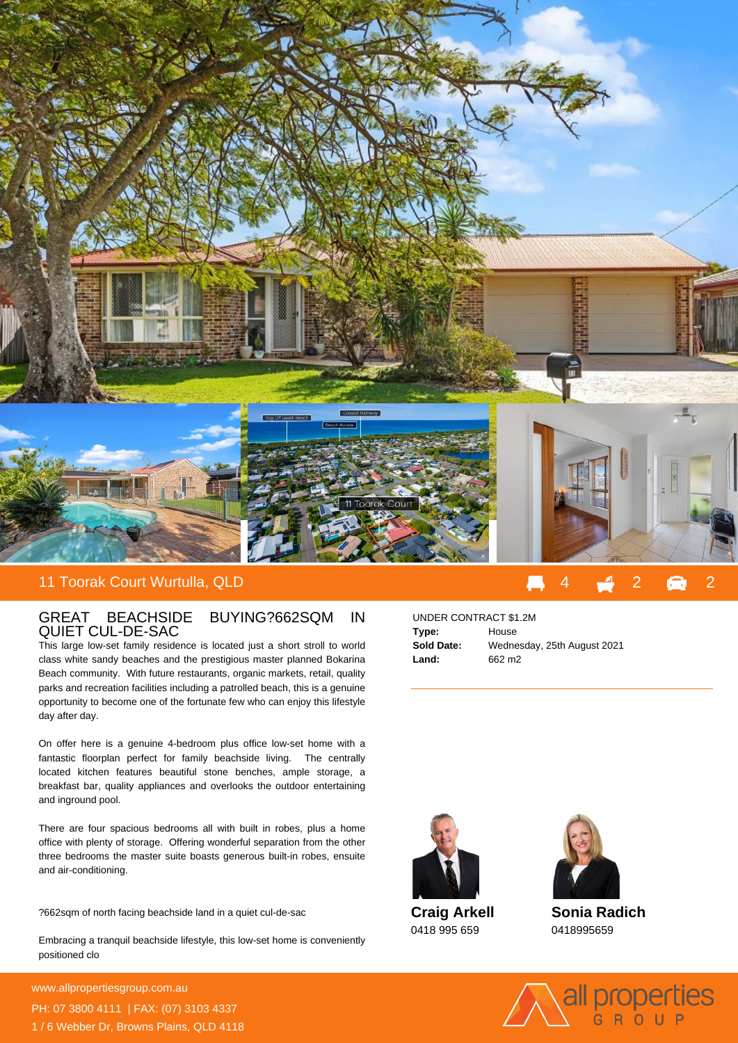

## GREAT BEACHSIDE BUYING?662SQM IN QUIET CUL-DE-SAC

This large low-set family residence is located just a short stroll to world class white sandy beaches and the prestigious master planned Bokarina Beach community. With future restaurants, organic markets, retail, quality parks and recreation facilities including a patrolled beach, this is a genuine opportunity to become one of the fortunate few who can enjoy this lifestyle day after day.

On offer here is a genuine 4-bedroom plus office low-set home with a fantastic floorplan perfect for family beachside living. The centrally located kitchen features beautiful stone benches, ample storage, a breakfast bar, quality appliances and overlooks the outdoor entertaining and inground pool.

There are four spacious bedrooms all with built in robes, plus a home office with plenty of storage. Offering wonderful separation from the other three bedrooms the master suite boasts generous built-in robes, ensuite and air-conditioning.

? 662sqm of north facing beachside land in a quiet cul-de-sac

Embracing a tranquil beachside lifestyle, this low-set home is conveniently positioned clo

**For more details please visit** www.allpropertiesgroup.com.au/655191313191313131913<br>www.allpropertiesgroup.com.au PH: 07 3800 4111 | FAX: (07) 3103 4337 1 / 6 Webber Dr, Browns Plains, QLD 4118

## UNDER CONTRACT \$1.2M **Type:** House **Sold Date:** Wednesday, 25th August 2021 **Land:** 662 m2



**Craig Arkell** 0418 995 659